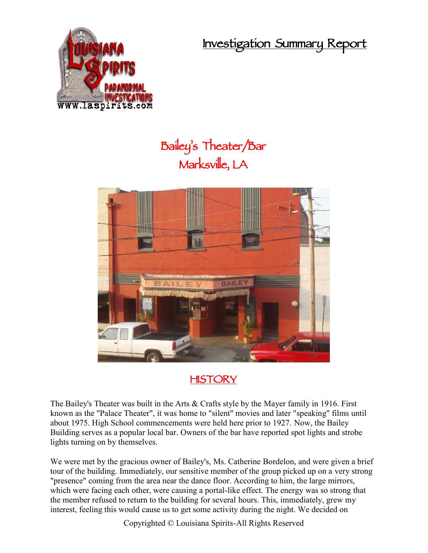**Investigation Summary Report**



## **Bailey's Theater/Bar Marksville, LA**



## **HISTORY**

The Bailey's Theater was built in the Arts & Crafts style by the Mayer family in 1916. First known as the "Palace Theater", it was home to "silent" movies and later "speaking" films until about 1975. High School commencements were held here prior to 1927. Now, the Bailey Building serves as a popular local bar. Owners of the bar have reported spot lights and strobe lights turning on by themselves.

We were met by the gracious owner of Bailey's, Ms. Catherine Bordelon, and were given a brief tour of the building. Immediately, our sensitive member of the group picked up on a very strong "presence" coming from the area near the dance floor. According to him, the large mirrors, which were facing each other, were causing a portal-like effect. The energy was so strong that the member refused to return to the building for several hours. This, immediately, grew my interest, feeling this would cause us to get some activity during the night. We decided on

Copyrighted © Louisiana Spirits-All Rights Reserved